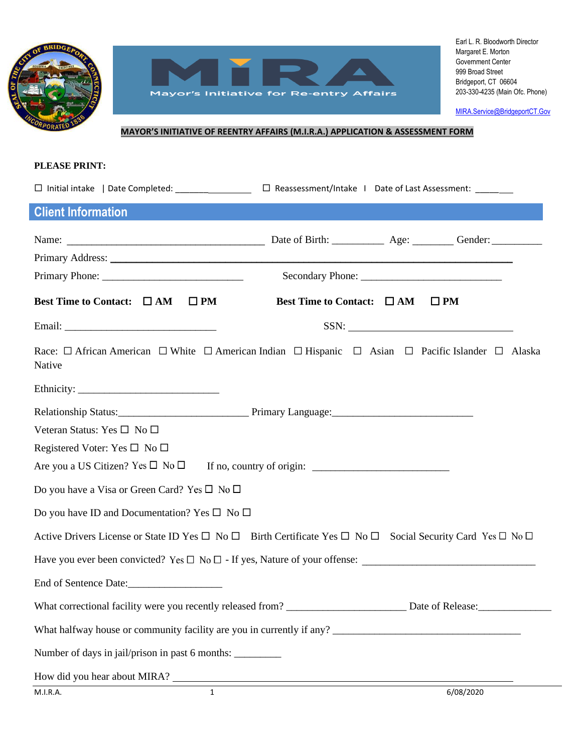



[MIRA.Service@BridgeportCT.Gov](mailto:MIRA.Service@BridgeportCT.Gov)

## **MAYOR'S INITIATIVE OF REENTRY AFFAIRS (M.I.R.A.) APPLICATION & ASSESSMENT FORM**

#### **PLEASE PRINT:**

| <b>Client Information</b>                                                                                                                                                                                                      |                                 |                                                                                                                                                                                                                                                                                                                                                                                                      |
|--------------------------------------------------------------------------------------------------------------------------------------------------------------------------------------------------------------------------------|---------------------------------|------------------------------------------------------------------------------------------------------------------------------------------------------------------------------------------------------------------------------------------------------------------------------------------------------------------------------------------------------------------------------------------------------|
|                                                                                                                                                                                                                                |                                 |                                                                                                                                                                                                                                                                                                                                                                                                      |
| Primary Address: No. 2016. The Contract of the Contract of the Contract of the Contract of the Contract of the Contract of the Contract of the Contract of the Contract of the Contract of the Contract of the Contract of the |                                 |                                                                                                                                                                                                                                                                                                                                                                                                      |
|                                                                                                                                                                                                                                |                                 |                                                                                                                                                                                                                                                                                                                                                                                                      |
| <b>Best Time to Contact:</b> $\Box$ AM<br>$\square$ PM                                                                                                                                                                         | Best Time to Contact: $\Box$ AM | $\square$ PM                                                                                                                                                                                                                                                                                                                                                                                         |
|                                                                                                                                                                                                                                |                                 | $SSN: \begin{tabular}{ c c c c } \hline \rule{0.2cm}{.01cm} & & & & \\\hline \rule{0.2cm}{.01cm} & & & & \\\hline \rule{0.2cm}{.01cm} & & & & \\\hline \rule{0.2cm}{.01cm} & & & & \\\hline \rule{0.2cm}{.01cm} & & & & \\\hline \rule{0.2cm}{.01cm} & & & & \\\hline \rule{0.2cm}{.01cm} & & & & \\\hline \rule{0.2cm}{.01cm} & & & & \\\hline \rule{0.2cm}{.01cm} & & & & \\\hline \rule{0.2cm}{.$ |
| Race: $\Box$ African American $\Box$ White $\Box$ American Indian $\Box$ Hispanic $\Box$ Asian $\Box$ Pacific Islander $\Box$ Alaska<br>Native                                                                                 |                                 |                                                                                                                                                                                                                                                                                                                                                                                                      |
|                                                                                                                                                                                                                                |                                 |                                                                                                                                                                                                                                                                                                                                                                                                      |
|                                                                                                                                                                                                                                |                                 |                                                                                                                                                                                                                                                                                                                                                                                                      |
| Veteran Status: Yes □ No □                                                                                                                                                                                                     |                                 |                                                                                                                                                                                                                                                                                                                                                                                                      |
| Registered Voter: Yes $\square$ No $\square$                                                                                                                                                                                   |                                 |                                                                                                                                                                                                                                                                                                                                                                                                      |
| Are you a US Citizen? Yes $\square$ No $\square$                                                                                                                                                                               |                                 |                                                                                                                                                                                                                                                                                                                                                                                                      |
| Do you have a Visa or Green Card? Yes $\square$ No $\square$                                                                                                                                                                   |                                 |                                                                                                                                                                                                                                                                                                                                                                                                      |
| Do you have ID and Documentation? Yes $\square$ No $\square$                                                                                                                                                                   |                                 |                                                                                                                                                                                                                                                                                                                                                                                                      |
| Active Drivers License or State ID Yes $\Box$ No $\Box$ Birth Certificate Yes $\Box$ No $\Box$ Social Security Card Yes $\Box$ No $\Box$                                                                                       |                                 |                                                                                                                                                                                                                                                                                                                                                                                                      |
|                                                                                                                                                                                                                                |                                 |                                                                                                                                                                                                                                                                                                                                                                                                      |
|                                                                                                                                                                                                                                |                                 |                                                                                                                                                                                                                                                                                                                                                                                                      |
| What correctional facility were you recently released from?                                                                                                                                                                    |                                 | Date of Release:                                                                                                                                                                                                                                                                                                                                                                                     |
| What halfway house or community facility are you in currently if any?                                                                                                                                                          |                                 |                                                                                                                                                                                                                                                                                                                                                                                                      |
| Number of days in jail/prison in past 6 months:                                                                                                                                                                                |                                 |                                                                                                                                                                                                                                                                                                                                                                                                      |
| How did you hear about MIRA?                                                                                                                                                                                                   |                                 |                                                                                                                                                                                                                                                                                                                                                                                                      |
| $\mathbf{1}$<br>M.I.R.A.                                                                                                                                                                                                       |                                 | 6/08/2020                                                                                                                                                                                                                                                                                                                                                                                            |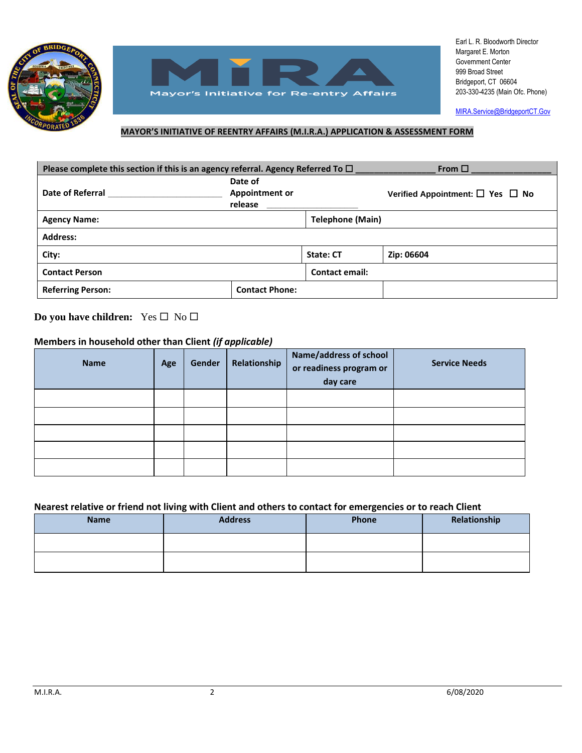



[MIRA.Service@BridgeportCT.Gov](mailto:MIRA.Service@BridgeportCT.Gov)

### **MAYOR'S INITIATIVE OF REENTRY AFFAIRS (M.I.R.A.) APPLICATION & ASSESSMENT FORM**

| Please complete this section if this is an agency referral. Agency Referred To $\Box$ |                                             |                         | From $\Box$                                |
|---------------------------------------------------------------------------------------|---------------------------------------------|-------------------------|--------------------------------------------|
| <b>Date of Referral</b>                                                               | Date of<br><b>Appointment or</b><br>release |                         | Verified Appointment: $\Box$ Yes $\Box$ No |
| <b>Agency Name:</b>                                                                   |                                             | <b>Telephone (Main)</b> |                                            |
| <b>Address:</b>                                                                       |                                             |                         |                                            |
| City:                                                                                 |                                             | <b>State: CT</b>        | Zip: 06604                                 |
| <b>Contact Person</b>                                                                 |                                             | <b>Contact email:</b>   |                                            |
| <b>Referring Person:</b>                                                              | <b>Contact Phone:</b>                       |                         |                                            |

**Do you have children:** Yes □ No □

### **Members in household other than Client** *(if applicable)*

| <b>Name</b> | Age | Gender | Relationship | Name/address of school<br>or readiness program or<br>day care | <b>Service Needs</b> |
|-------------|-----|--------|--------------|---------------------------------------------------------------|----------------------|
|             |     |        |              |                                                               |                      |
|             |     |        |              |                                                               |                      |
|             |     |        |              |                                                               |                      |
|             |     |        |              |                                                               |                      |
|             |     |        |              |                                                               |                      |

### **Nearest relative or friend not living with Client and others to contact for emergencies or to reach Client**

| <b>Name</b> | <b>Address</b> | Phone | Relationship |
|-------------|----------------|-------|--------------|
|             |                |       |              |
|             |                |       |              |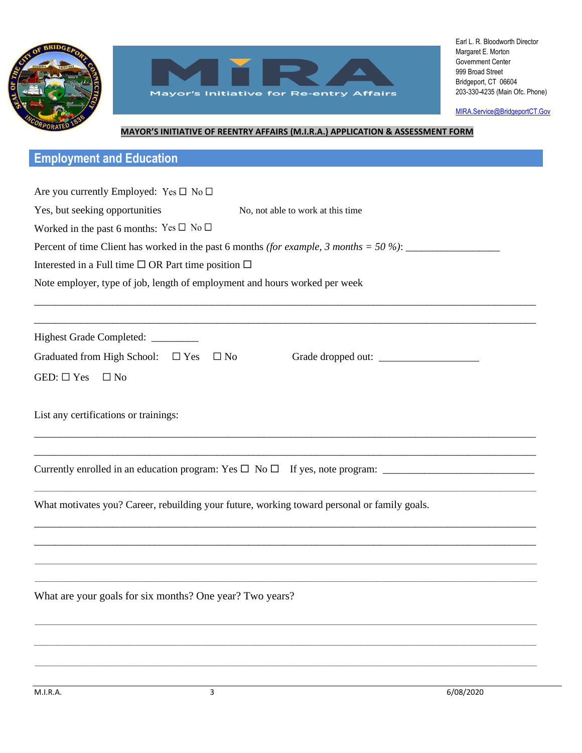



[MIRA.Service@BridgeportCT.Gov](mailto:MIRA.Service@BridgeportCT.Gov)

## **MAYOR'S INITIATIVE OF REENTRY AFFAIRS (M.I.R.A.) APPLICATION & ASSESSMENT FORM**

# **Employment and Education**

| Are you currently Employed: Yes $\square$ No $\square$                                       |  |  |  |  |
|----------------------------------------------------------------------------------------------|--|--|--|--|
| Yes, but seeking opportunities<br>No, not able to work at this time                          |  |  |  |  |
| Worked in the past 6 months: Yes $\square$ No $\square$                                      |  |  |  |  |
|                                                                                              |  |  |  |  |
| Percent of time Client has worked in the past 6 months (for example, 3 months = $50\%$ ):    |  |  |  |  |
| Interested in a Full time $\square$ OR Part time position $\square$                          |  |  |  |  |
| Note employer, type of job, length of employment and hours worked per week                   |  |  |  |  |
|                                                                                              |  |  |  |  |
| Highest Grade Completed: ________                                                            |  |  |  |  |
| Graduated from High School: $\Box$ Yes<br>$\square$ No<br>Grade dropped out:                 |  |  |  |  |
| GED: $\square$ Yes<br>$\Box$ No                                                              |  |  |  |  |
| List any certifications or trainings:                                                        |  |  |  |  |
|                                                                                              |  |  |  |  |
| What motivates you? Career, rebuilding your future, working toward personal or family goals. |  |  |  |  |
|                                                                                              |  |  |  |  |
|                                                                                              |  |  |  |  |
| What are your goals for six months? One year? Two years?                                     |  |  |  |  |
|                                                                                              |  |  |  |  |
|                                                                                              |  |  |  |  |
|                                                                                              |  |  |  |  |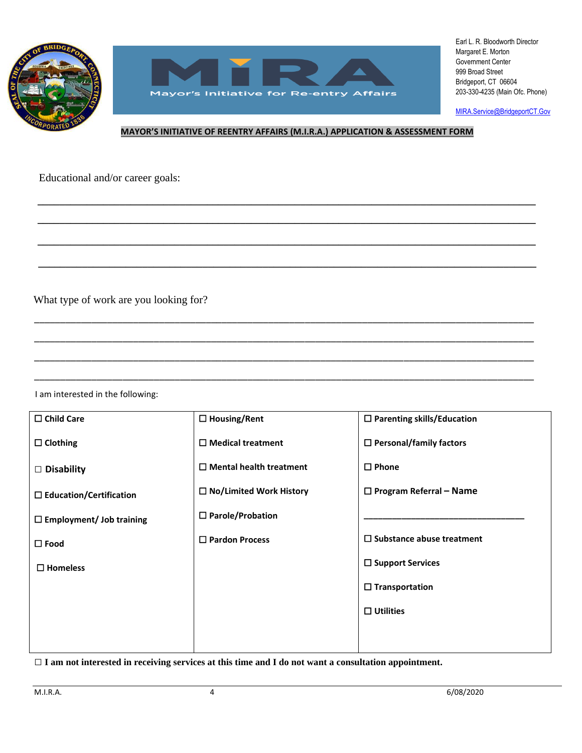



[MIRA.Service@BridgeportCT.Gov](mailto:MIRA.Service@BridgeportCT.Gov)

#### **MAYOR'S INITIATIVE OF REENTRY AFFAIRS (M.I.R.A.) APPLICATION & ASSESSMENT FORM**

\_\_\_\_\_\_\_\_\_\_\_\_\_\_\_\_\_\_\_\_\_\_\_\_\_\_\_\_\_\_\_\_\_\_\_\_\_\_\_\_\_\_\_\_\_\_\_\_\_\_\_\_\_\_\_\_\_\_\_\_\_\_\_\_\_\_\_\_\_\_\_\_\_\_\_\_\_\_\_\_\_\_\_\_\_\_\_\_\_\_\_\_\_\_\_\_ \_\_\_\_\_\_\_\_\_\_\_\_\_\_\_\_\_\_\_\_\_\_\_\_\_\_\_\_\_\_\_\_\_\_\_\_\_\_\_\_\_\_\_\_\_\_\_\_\_\_\_\_\_\_\_\_\_\_\_\_\_\_\_\_\_\_\_\_\_\_\_\_\_\_\_\_\_\_\_\_\_\_\_\_\_\_\_\_\_\_\_\_\_\_\_\_

**\_\_\_\_\_\_\_\_\_\_\_\_\_\_\_\_\_\_\_\_\_\_\_\_\_\_\_\_\_\_\_\_\_\_\_\_\_\_\_\_\_\_\_\_\_\_\_\_\_\_\_\_\_\_\_\_\_\_\_\_\_\_\_\_\_\_\_\_\_\_\_\_\_\_\_\_\_\_\_\_\_\_\_\_\_\_\_\_\_\_\_**

**\_\_\_\_\_\_\_\_\_\_\_\_\_\_\_\_\_\_\_\_\_\_\_\_\_\_\_\_\_\_\_\_\_\_\_\_\_\_\_\_\_\_\_\_\_\_\_\_\_\_\_\_\_\_\_\_\_\_\_\_\_\_\_\_\_\_\_\_\_\_\_\_\_\_\_\_\_\_\_\_\_\_\_\_\_\_\_\_\_\_\_**

**\_\_\_\_\_\_\_\_\_\_\_\_\_\_\_\_\_\_\_\_\_\_\_\_\_\_\_\_\_\_\_\_\_\_\_\_\_\_\_\_\_\_\_\_\_\_\_\_\_\_\_\_\_\_\_\_\_\_\_\_\_\_\_\_\_\_\_\_\_\_\_\_\_\_\_\_\_\_\_\_\_\_\_\_\_\_\_\_\_\_\_ \_\_\_\_\_\_\_\_\_\_\_\_\_\_\_\_\_\_\_\_\_\_\_\_\_\_\_\_\_\_\_\_\_\_\_\_\_\_\_\_\_\_\_\_\_\_\_\_\_\_\_\_\_\_\_\_\_\_\_\_\_\_\_\_\_\_\_\_\_\_\_\_\_\_\_\_\_\_\_\_\_\_\_\_\_\_\_\_\_\_\_**

\_\_\_\_\_\_\_\_\_\_\_\_\_\_\_\_\_\_\_\_\_\_\_\_\_\_\_\_\_\_\_\_\_\_\_\_\_\_\_\_\_\_\_\_\_\_\_\_\_\_\_\_\_\_\_\_\_\_\_\_\_\_\_\_\_\_\_\_\_\_\_\_\_\_\_\_\_\_\_\_\_\_\_\_\_\_\_\_\_\_\_\_\_\_\_\_

\_\_\_\_\_\_\_\_\_\_\_\_\_\_\_\_\_\_\_\_\_\_\_\_\_\_\_\_\_\_\_\_\_\_\_\_\_\_\_\_\_\_\_\_\_\_\_\_\_\_\_\_\_\_\_\_\_\_\_\_\_\_\_\_\_\_\_\_\_\_\_\_\_\_\_\_\_\_\_\_\_\_\_\_\_\_\_\_\_\_\_\_\_\_\_\_

\_\_\_\_\_\_\_\_\_\_\_\_\_\_\_\_\_\_\_\_\_\_\_\_\_\_\_\_\_\_\_\_\_\_\_\_\_\_\_\_\_\_\_\_\_\_\_\_\_\_\_\_\_\_\_\_\_\_\_\_\_\_\_\_\_\_\_\_\_\_\_\_\_\_\_\_\_\_\_\_\_\_\_\_\_\_\_\_\_\_\_\_\_\_\_\_

\_\_\_\_\_\_\_\_\_\_\_\_\_\_\_\_\_\_\_\_\_\_\_\_\_\_\_\_\_\_\_\_\_\_\_\_\_\_\_\_\_\_\_\_\_\_\_\_\_\_\_\_\_\_\_\_\_\_\_\_\_\_\_\_\_\_\_\_\_\_\_\_\_\_\_\_\_\_\_\_\_\_\_\_\_\_\_\_\_\_\_\_\_\_\_\_

Educational and/or career goals:

Employment and/or education goals:

What type of work are you looking for?

I am interested in the following:

| $\Box$ Child Care               | $\Box$ Housing/Rent            | $\Box$ Parenting skills/Education |
|---------------------------------|--------------------------------|-----------------------------------|
| $\Box$ Clothing                 | $\Box$ Medical treatment       | $\Box$ Personal/family factors    |
| $\Box$ Disability               | $\Box$ Mental health treatment | $\Box$ Phone                      |
| $\Box$ Education/Certification  | $\Box$ No/Limited Work History | $\Box$ Program Referral – Name    |
| $\Box$ Employment/ Job training | $\Box$ Parole/Probation        |                                   |
| $\square$ Food                  | $\Box$ Pardon Process          | $\Box$ Substance abuse treatment  |
| $\square$ Homeless              |                                | $\Box$ Support Services           |
|                                 |                                | $\Box$ Transportation             |
|                                 |                                | $\Box$ Utilities                  |
|                                 |                                |                                   |
|                                 |                                |                                   |

**□ I am not interested in receiving services at this time and I do not want a consultation appointment.**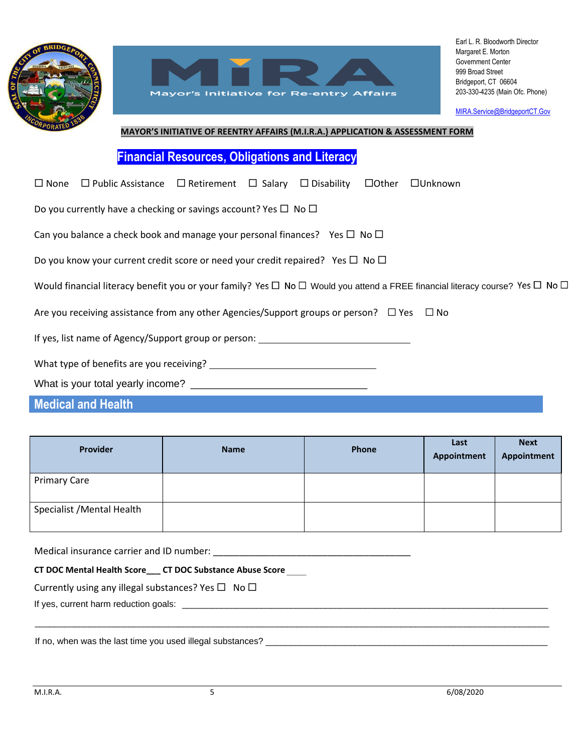



[MIRA.Service@BridgeportCT.Gov](mailto:MIRA.Service@BridgeportCT.Gov)

## **MAYOR'S INITIATIVE OF REENTRY AFFAIRS (M.I.R.A.) APPLICATION & ASSESSMENT FORM**

**Financial Resources, Obligations and Literacy**

| $\Box$ None $\Box$ Public Assistance $\Box$ Retirement $\Box$ Salary $\Box$ Disability $\Box$ Other $\Box$ Unknown                                |
|---------------------------------------------------------------------------------------------------------------------------------------------------|
| Do you currently have a checking or savings account? Yes $\Box$ No $\Box$                                                                         |
| Can you balance a check book and manage your personal finances? Yes $\Box$ No $\Box$                                                              |
| Do you know your current credit score or need your credit repaired? Yes $\Box$ No $\Box$                                                          |
| Would financial literacy benefit you or your family? Yes $\Box$ No $\Box$ Would you attend a FREE financial literacy course? Yes $\Box$ No $\Box$ |
| Are you receiving assistance from any other Agencies/Support groups or person? $\Box$ Yes $\Box$ No                                               |
| If yes, list name of Agency/Support group or person: ___________________________                                                                  |
|                                                                                                                                                   |
|                                                                                                                                                   |
| <b>Medical and Health</b>                                                                                                                         |

| <b>Provider</b>            | <b>Name</b> | Phone | Last<br>Appointment | <b>Next</b><br>Appointment |
|----------------------------|-------------|-------|---------------------|----------------------------|
| <b>Primary Care</b>        |             |       |                     |                            |
| Specialist / Mental Health |             |       |                     |                            |

\_\_\_\_\_\_\_\_\_\_\_\_\_\_\_\_\_\_\_\_\_\_\_\_\_\_\_\_\_\_\_\_\_\_\_\_\_\_\_\_\_\_\_\_\_\_\_\_\_\_\_\_\_\_\_\_\_\_\_\_\_\_\_\_\_\_\_\_\_\_\_\_\_\_\_\_\_\_\_\_\_\_\_\_\_\_\_\_\_\_\_\_\_\_\_\_\_\_\_\_\_\_\_\_

Medical insurance carrier and ID number: \_\_\_\_\_\_\_\_\_\_\_\_\_\_\_\_\_\_\_\_\_\_\_\_\_\_\_\_\_\_\_\_\_\_\_\_\_\_

**CT DOC Mental Health Score\_\_\_ CT DOC Substance Abuse Score \_\_\_\_**

Currently using any illegal substances? Yes  $\Box$  No  $\Box$ 

If yes, current harm reduction goals: \_\_\_\_\_\_\_\_\_\_\_\_\_\_\_\_\_\_\_\_\_\_\_\_\_\_\_\_\_\_\_\_\_\_\_\_\_\_\_\_\_\_\_\_\_\_\_\_\_\_\_\_\_\_\_\_\_\_\_\_\_\_\_ If yes, current harm reduction goals: \_\_\_\_\_\_\_\_\_\_\_\_\_\_\_\_\_\_\_\_\_\_\_\_\_\_\_\_\_\_\_\_\_\_\_\_\_\_\_\_\_\_\_\_\_\_\_\_\_\_\_\_\_\_\_\_\_\_\_\_\_\_\_\_\_\_\_\_\_\_\_\_\_\_

If no, when was the last time you used illegal substances? \_\_\_\_\_\_\_\_\_\_\_\_\_\_\_\_\_\_\_\_\_\_\_\_\_\_\_\_\_\_\_\_\_\_\_\_\_\_\_\_\_\_\_\_\_\_\_\_\_\_\_\_\_\_\_\_\_

 $\overbrace{\phantom{\alpha}}^{1}$  no, when was the last time you used any independent substances?  $\overline{\phantom{\alpha}}$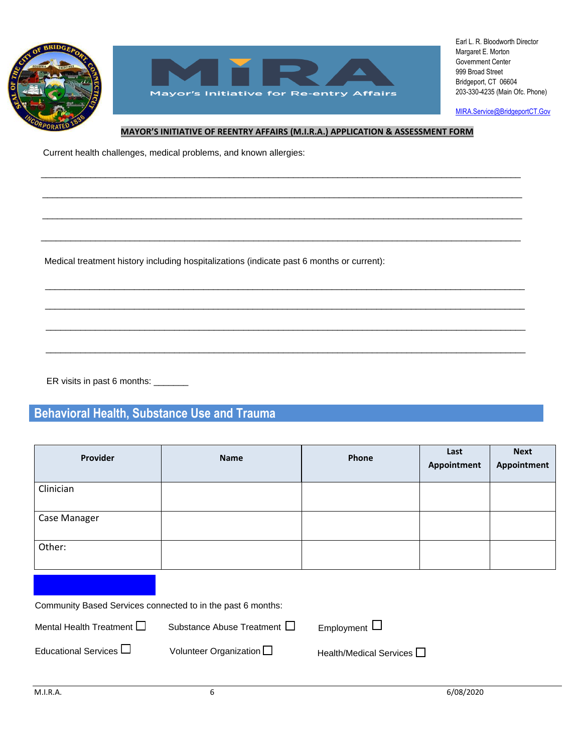

 $\overline{\phantom{a}}$ 



Earl L. R. Bloodworth Director Margaret E. Morton Government Center 999 Broad Street Bridgeport, CT 06604 203-330-4235 (Main Ofc. Phone)

[MIRA.Service@BridgeportCT.Gov](mailto:MIRA.Service@BridgeportCT.Gov)

#### **MAYOR'S INITIATIVE OF REENTRY AFFAIRS (M.I.R.A.) APPLICATION & ASSESSMENT FORM**

 $\overline{\phantom{a}}$  , and the contribution of the contribution of the contribution of the contribution of the contribution of the contribution of the contribution of the contribution of the contribution of the contribution of the

 $\overline{\phantom{a}}$  , and the contribution of the contribution of the contribution of the contribution of the contribution of the contribution of the contribution of the contribution of the contribution of the contribution of the

 $\overline{\phantom{a}}$  , and the contribution of the contribution of the contribution of the contribution of the contribution of the contribution of the contribution of the contribution of the contribution of the contribution of the

 $\mathcal{L}_\text{max} = \mathcal{L}_\text{max} = \mathcal{L}_\text{max} = \mathcal{L}_\text{max} = \mathcal{L}_\text{max} = \mathcal{L}_\text{max} = \mathcal{L}_\text{max} = \mathcal{L}_\text{max} = \mathcal{L}_\text{max} = \mathcal{L}_\text{max} = \mathcal{L}_\text{max} = \mathcal{L}_\text{max} = \mathcal{L}_\text{max} = \mathcal{L}_\text{max} = \mathcal{L}_\text{max} = \mathcal{L}_\text{max} = \mathcal{L}_\text{max} = \mathcal{L}_\text{max} = \mathcal{$ 

 $\overline{\phantom{a}}$  , and the contribution of the contribution of the contribution of the contribution of the contribution of the contribution of the contribution of the contribution of the contribution of the contribution of the

 $\overline{\phantom{a}}$  , and the contribution of the contribution of the contribution of the contribution of the contribution of the contribution of the contribution of the contribution of the contribution of the contribution of the

 $\_$  ,  $\_$  ,  $\_$  ,  $\_$  ,  $\_$  ,  $\_$  ,  $\_$  ,  $\_$  ,  $\_$  ,  $\_$  ,  $\_$  ,  $\_$  ,  $\_$  ,  $\_$  ,  $\_$  ,  $\_$  ,  $\_$  ,  $\_$  ,  $\_$  ,  $\_$  ,  $\_$  ,  $\_$  ,  $\_$  ,  $\_$  ,  $\_$  ,  $\_$  ,  $\_$  ,  $\_$  ,  $\_$  ,  $\_$  ,  $\_$  ,  $\_$  ,  $\_$  ,  $\_$  ,  $\_$  ,  $\_$  ,  $\_$  ,

 $\_$  ,  $\_$  ,  $\_$  ,  $\_$  ,  $\_$  ,  $\_$  ,  $\_$  ,  $\_$  ,  $\_$  ,  $\_$  ,  $\_$  ,  $\_$  ,  $\_$  ,  $\_$  ,  $\_$  ,  $\_$  ,  $\_$  ,  $\_$  ,  $\_$  ,  $\_$  ,  $\_$  ,  $\_$  ,  $\_$  ,  $\_$  ,  $\_$  ,  $\_$  ,  $\_$  ,  $\_$  ,  $\_$  ,  $\_$  ,  $\_$  ,  $\_$  ,  $\_$  ,  $\_$  ,  $\_$  ,  $\_$  ,  $\_$  ,

 $\_$  ,  $\_$  ,  $\_$  ,  $\_$  ,  $\_$  ,  $\_$  ,  $\_$  ,  $\_$  ,  $\_$  ,  $\_$  ,  $\_$  ,  $\_$  ,  $\_$  ,  $\_$  ,  $\_$  ,  $\_$  ,  $\_$  ,  $\_$  ,  $\_$  ,  $\_$  ,  $\_$  ,  $\_$  ,  $\_$  ,  $\_$  ,  $\_$  ,  $\_$  ,  $\_$  ,  $\_$  ,  $\_$  ,  $\_$  ,  $\_$  ,  $\_$  ,  $\_$  ,  $\_$  ,  $\_$  ,  $\_$  ,  $\_$  ,

 $\_$  ,  $\_$  ,  $\_$  ,  $\_$  ,  $\_$  ,  $\_$  ,  $\_$  ,  $\_$  ,  $\_$  ,  $\_$  ,  $\_$  ,  $\_$  ,  $\_$  ,  $\_$  ,  $\_$  ,  $\_$  ,  $\_$  ,  $\_$  ,  $\_$  ,  $\_$  ,  $\_$  ,  $\_$  ,  $\_$  ,  $\_$  ,  $\_$  ,  $\_$  ,  $\_$  ,  $\_$  ,  $\_$  ,  $\_$  ,  $\_$  ,  $\_$  ,  $\_$  ,  $\_$  ,  $\_$  ,  $\_$  ,  $\_$  ,

Current health challenges, medical problems, and known allergies:

Medical treatment history including hospitalizations (indicate past 6 months or current):

ER visits in past 6 months: \_\_\_\_\_\_\_

# **Behavioral Health, Substance Use and Trauma**

| Provider                                                    | <b>Name</b>                      | Phone                          | Last<br>Appointment | <b>Next</b><br>Appointment |
|-------------------------------------------------------------|----------------------------------|--------------------------------|---------------------|----------------------------|
| Clinician                                                   |                                  |                                |                     |                            |
| Case Manager                                                |                                  |                                |                     |                            |
| Other:                                                      |                                  |                                |                     |                            |
|                                                             |                                  |                                |                     |                            |
| Community Based Services connected to in the past 6 months: |                                  |                                |                     |                            |
| Mental Health Treatment $\square$                           | Substance Abuse Treatment $\Box$ | Employment $\Box$              |                     |                            |
| Educational Services $\Box$                                 | Volunteer Organization $\Box$    | Health/Medical Services $\Box$ |                     |                            |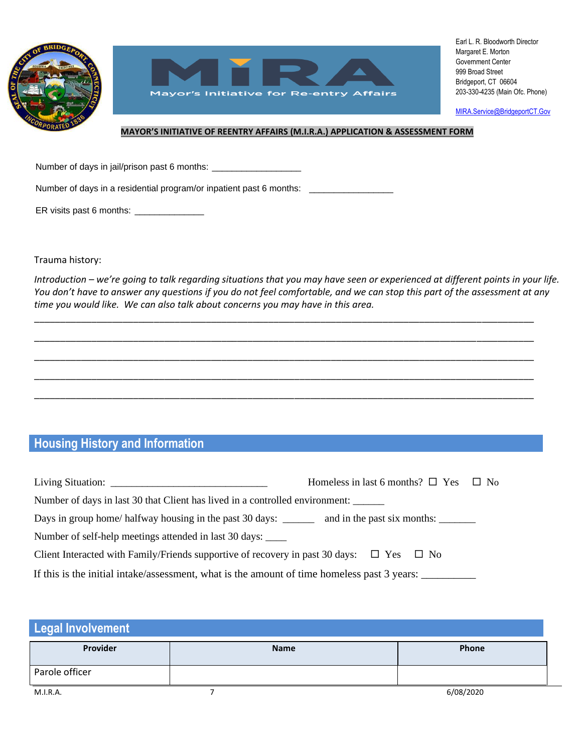



[MIRA.Service@BridgeportCT.Gov](mailto:MIRA.Service@BridgeportCT.Gov)

### **MAYOR'S INITIATIVE OF REENTRY AFFAIRS (M.I.R.A.) APPLICATION & ASSESSMENT FORM**

Number of days in jail/prison past 6 months: \_\_\_\_\_\_\_\_\_\_\_\_\_\_\_\_\_\_\_\_\_\_\_\_\_\_\_\_\_\_\_\_\_\_\_

Number of days in a residential program/or inpatient past 6 months: \_\_\_\_\_\_\_\_\_\_\_\_

ER visits past 6 months: \_\_\_\_\_\_\_\_\_\_\_\_\_\_

Trauma history:

*Introduction – we're going to talk regarding situations that you may have seen or experienced at different points in your life. You don't have to answer any questions if you do not feel comfortable, and we can stop this part of the assessment at any time you would like. We can also talk about concerns you may have in this area.*

\_\_\_\_\_\_\_\_\_\_\_\_\_\_\_\_\_\_\_\_\_\_\_\_\_\_\_\_\_\_\_\_\_\_\_\_\_\_\_\_\_\_\_\_\_\_\_\_\_\_\_\_\_\_\_\_\_\_\_\_\_\_\_\_\_\_\_\_\_\_\_\_\_\_\_\_\_\_\_\_\_\_\_\_\_\_\_\_\_\_\_\_\_\_\_\_

\_\_\_\_\_\_\_\_\_\_\_\_\_\_\_\_\_\_\_\_\_\_\_\_\_\_\_\_\_\_\_\_\_\_\_\_\_\_\_\_\_\_\_\_\_\_\_\_\_\_\_\_\_\_\_\_\_\_\_\_\_\_\_\_\_\_\_\_\_\_\_\_\_\_\_\_\_\_\_\_\_\_\_\_\_\_\_\_\_\_\_\_\_\_\_\_

\_\_\_\_\_\_\_\_\_\_\_\_\_\_\_\_\_\_\_\_\_\_\_\_\_\_\_\_\_\_\_\_\_\_\_\_\_\_\_\_\_\_\_\_\_\_\_\_\_\_\_\_\_\_\_\_\_\_\_\_\_\_\_\_\_\_\_\_\_\_\_\_\_\_\_\_\_\_\_\_\_\_\_\_\_\_\_\_\_\_\_\_\_\_\_\_

\_\_\_\_\_\_\_\_\_\_\_\_\_\_\_\_\_\_\_\_\_\_\_\_\_\_\_\_\_\_\_\_\_\_\_\_\_\_\_\_\_\_\_\_\_\_\_\_\_\_\_\_\_\_\_\_\_\_\_\_\_\_\_\_\_\_\_\_\_\_\_\_\_\_\_\_\_\_\_\_\_\_\_\_\_\_\_\_\_\_\_\_\_\_\_\_

\_\_\_\_\_\_\_\_\_\_\_\_\_\_\_\_\_\_\_\_\_\_\_\_\_\_\_\_\_\_\_\_\_\_\_\_\_\_\_\_\_\_\_\_\_\_\_\_\_\_\_\_\_\_\_\_\_\_\_\_\_\_\_\_\_\_\_\_\_\_\_\_\_\_\_\_\_\_\_\_\_\_\_\_\_\_\_\_\_\_\_\_\_\_\_\_

# **Housing History and Information**

|                                                                                                          | Homeless in last 6 months? $\square$ Yes $\square$ No |
|----------------------------------------------------------------------------------------------------------|-------------------------------------------------------|
| Number of days in last 30 that Client has lived in a controlled environment:                             |                                                       |
| Days in group home/halfway housing in the past 30 days: ________ and in the past six months:             |                                                       |
| Number of self-help meetings attended in last 30 days: _____                                             |                                                       |
| Client Interacted with Family/Friends supportive of recovery in past 30 days: $\square$ Yes $\square$ No |                                                       |
| If this is the initial intake/assessment, what is the amount of time homeless past 3 years:              |                                                       |

# M.I.R.A. 7 6/08/2020 **Legal Involvement Provider Name Phone** Parole officer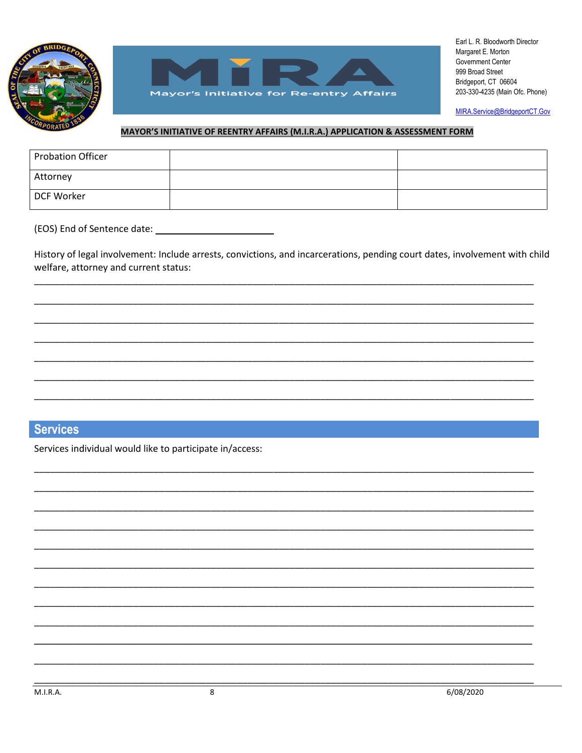



MIRA.Service@BridgeportCT.Gov

### MAYOR'S INITIATIVE OF REENTRY AFFAIRS (M.I.R.A.) APPLICATION & ASSESSMENT FORM

| <b>Probation Officer</b> |  |
|--------------------------|--|
| Attorney                 |  |
| DCF Worker               |  |

(EOS) End of Sentence date: \_\_\_\_\_\_\_\_\_

History of legal involvement: Include arrests, convictions, and incarcerations, pending court dates, involvement with child welfare, attorney and current status:

# **Services**

Services individual would like to participate in/access: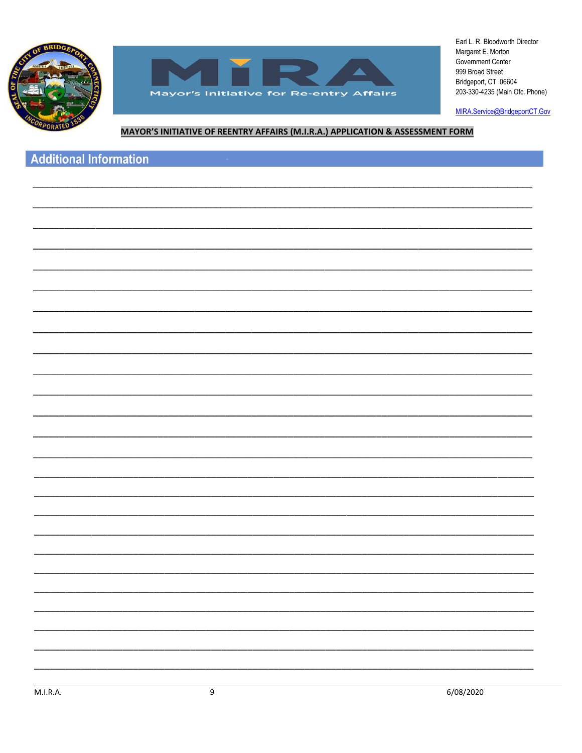



MIRA.Service@BridgeportCT.Gov

## MAYOR'S INITIATIVE OF REENTRY AFFAIRS (M.I.R.A.) APPLICATION & ASSESSMENT FORM

# **Additional Information**